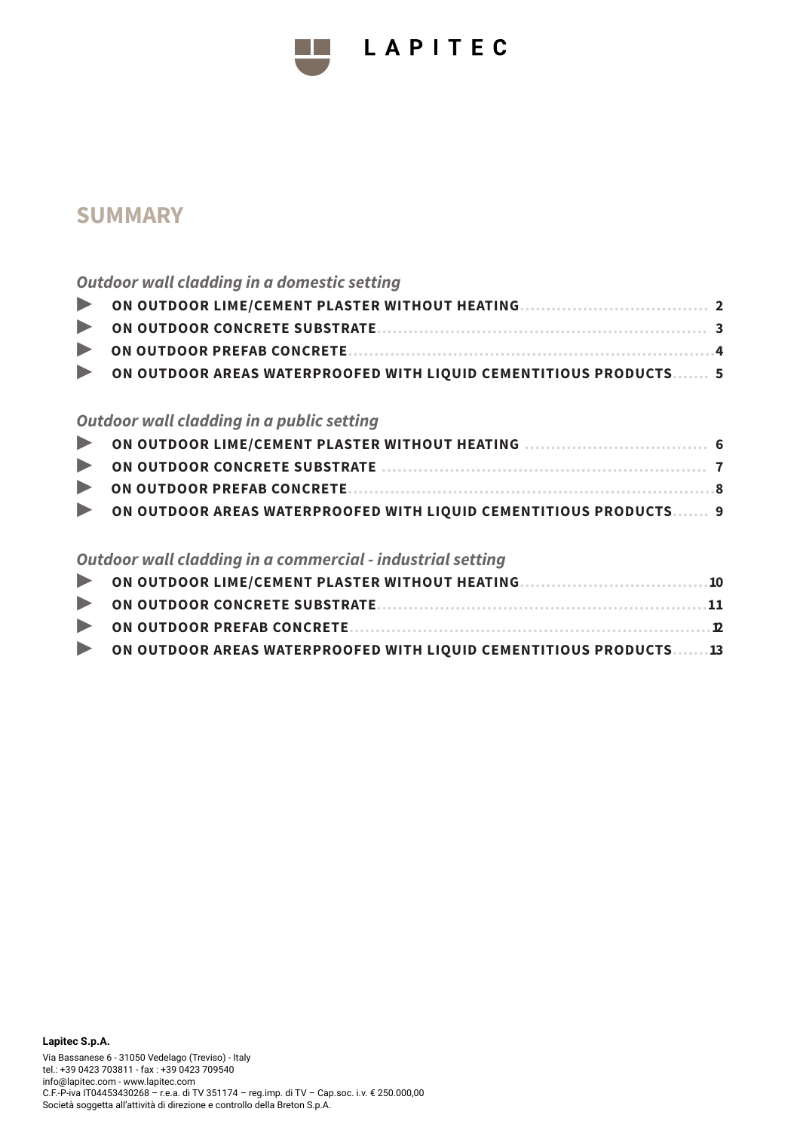

# LAPITEC

# **SUMMARY**

#### *Outdoor wall cladding in a domestic setting*

- ▶ ON OUTDOOR PREFAB CONCRETE......................................................................4
- **EXECUTED AREAS WATERPROOFED WITH LIQUID CEMENTITIOUS PRODUCTS....... 5**

#### *Outdoor wall cladding in a public setting*

| ON OUTDOOR LIME/CEMENT PLASTER WITHOUT HEATING <b>CONSIDERATION</b> |  |
|---------------------------------------------------------------------|--|
|                                                                     |  |
|                                                                     |  |
| ON OUTDOOR AREAS WATERPROOFED WITH LIQUID CEMENTITIOUS PRODUCTS 9   |  |

### *Outdoor wall cladding in a commercial - industrial setting*

| ON OUTDOOR AREAS WATERPROOFED WITH LIQUID CEMENTITIOUS PRODUCTS13 |  |
|-------------------------------------------------------------------|--|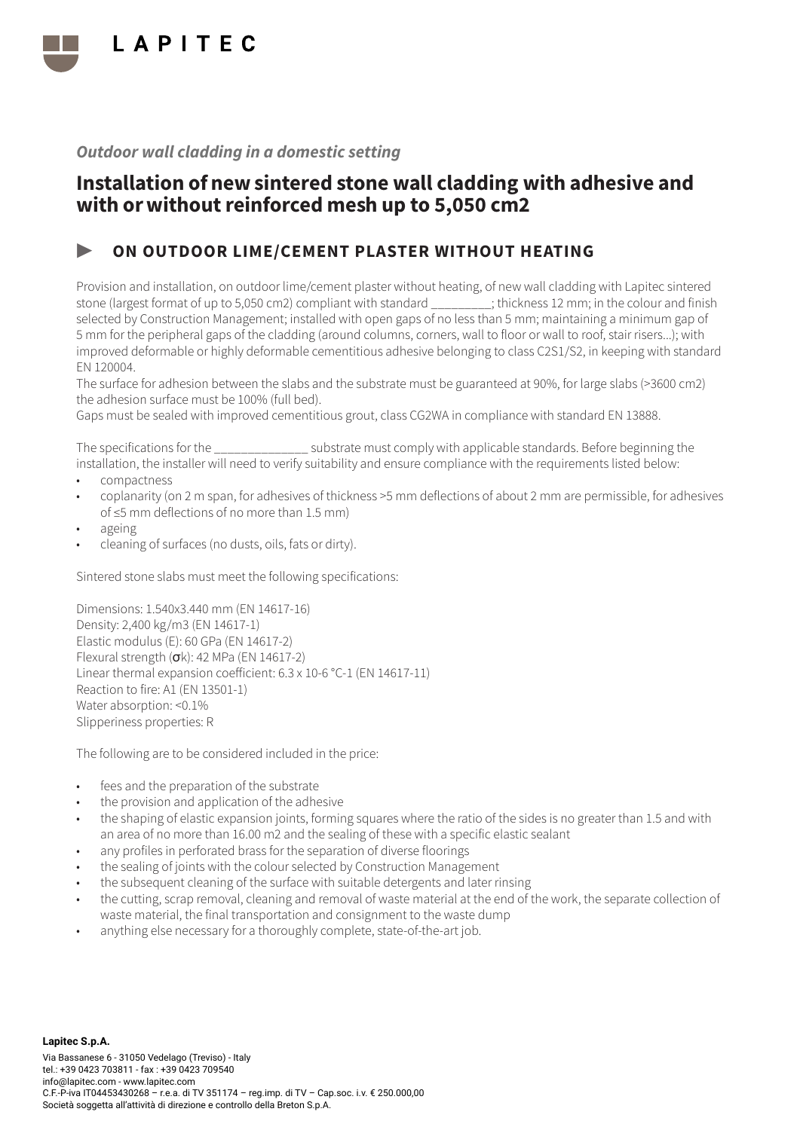

# Installation of new sintered stone wall cladding with adhesive and with or without reinforced mesh up to 5,050 cm2

### ▶ ON OUTDOOR LIME/CEMENT PLASTER WITHOUT HEATING

Provision and installation, on outdoor lime/cement plaster without heating, of new wall cladding with Lapitec sintered stone (largest format of up to 5,050 cm2) compliant with standard \_\_\_\_\_\_\_\_\_; thickness 12 mm; in the colour and finish selected by Construction Management; installed with open gaps of no less than 5 mm; maintaining a minimum gap of 5 mm for the peripheral gaps of the cladding (around columns, corners, wall to floor or wall to roof, stair risers...); with improved deformable or highly deformable cementitious adhesive belonging to class C2S1/S2, in keeping with standard EN 120004.

The surface for adhesion between the slabs and the substrate must be guaranteed at 90%, for large slabs (>3600 cm2) the adhesion surface must be 100% (full bed).

Gaps must be sealed with improved cementitious grout, class CG2WA in compliance with standard EN 13888.

The specifications for the \_\_\_\_\_\_\_\_\_\_\_\_\_\_ substrate must comply with applicable standards. Before beginning the installation, the installer will need to verify suitability and ensure compliance with the requirements listed below:

- compactness
- coplanarity (on 2 m span, for adhesives of thickness >5 mm deflections of about 2 mm are permissible, for adhesives of ≤5 mm deflections of no more than 1.5 mm)
- ageing
- cleaning of surfaces (no dusts, oils, fats or dirty).

Sintered stone slabs must meet the following specifications:

Dimensions: 1.540x3.440 mm (EN 14617-16) Density: 2,400 kg/m3 (EN 14617-1) Elastic modulus (E): 60 GPa (EN 14617-2) Flexural strength (σk): 42 MPa (EN 14617-2) Linear thermal expansion coefficient: 6.3 x 10-6 °C-1 (EN 14617-11) Reaction to fire: A1 (EN 13501-1) Water absorption: <0.1% Slipperiness properties: R

- fees and the preparation of the substrate
- the provision and application of the adhesive
- the shaping of elastic expansion joints, forming squares where the ratio of the sides is no greater than 1.5 and with an area of no more than 16.00 m2 and the sealing of these with a specific elastic sealant
- any profiles in perforated brass for the separation of diverse floorings
- the sealing of joints with the colour selected by Construction Management
- the subsequent cleaning of the surface with suitable detergents and later rinsing
- the cutting, scrap removal, cleaning and removal of waste material at the end of the work, the separate collection of waste material, the final transportation and consignment to the waste dump
- anything else necessary for a thoroughly complete, state-of-the-art job.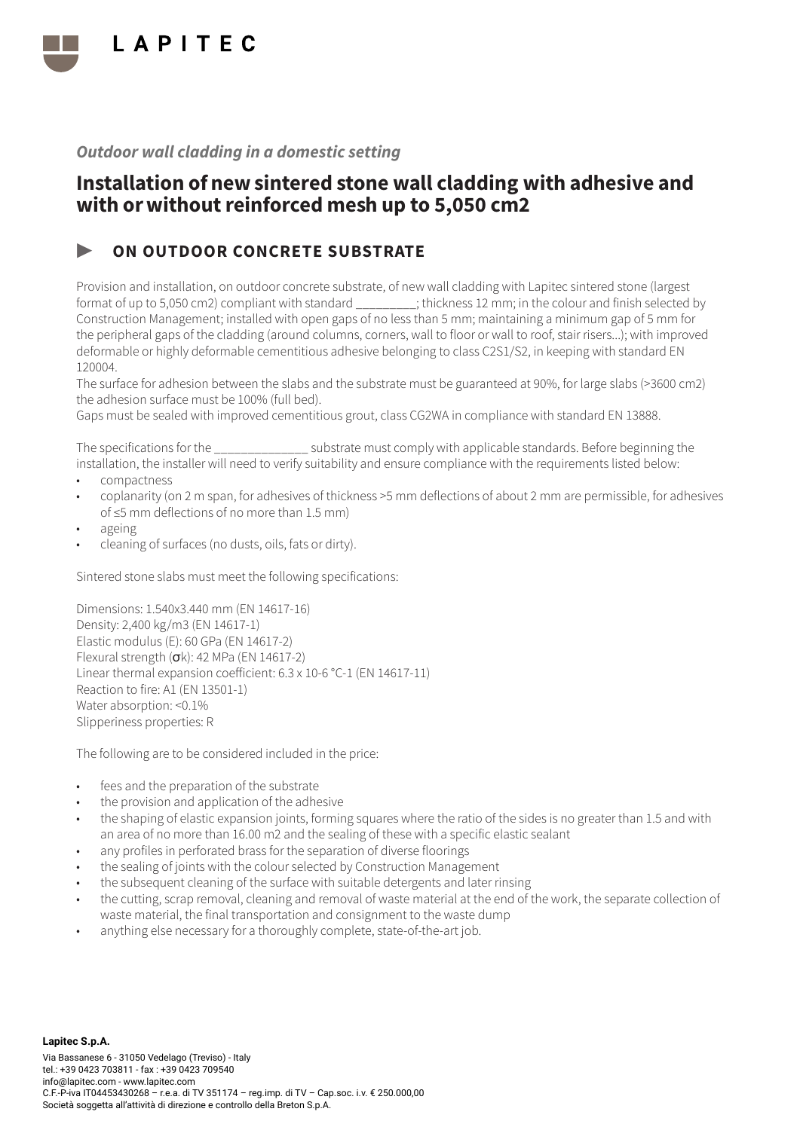

# Installation of new sintered stone wall cladding with adhesive and with or without reinforced mesh up to 5,050 cm2

### ON OUTDOOR CONCRETE SUBSTRATE

Provision and installation, on outdoor concrete substrate, of new wall cladding with Lapitec sintered stone (largest format of up to 5,050 cm2) compliant with standard \_\_\_\_\_\_\_\_\_; thickness 12 mm; in the colour and finish selected by Construction Management; installed with open gaps of no less than 5 mm; maintaining a minimum gap of 5 mm for the peripheral gaps of the cladding (around columns, corners, wall to floor or wall to roof, stair risers...); with improved deformable or highly deformable cementitious adhesive belonging to class C2S1/S2, in keeping with standard EN 120004.

The surface for adhesion between the slabs and the substrate must be guaranteed at 90%, for large slabs (>3600 cm2) the adhesion surface must be 100% (full bed).

Gaps must be sealed with improved cementitious grout, class CG2WA in compliance with standard EN 13888.

The specifications for the  $\sim$  substrate must comply with applicable standards. Before beginning the installation, the installer will need to verify suitability and ensure compliance with the requirements listed below:

- compactness
- coplanarity (on 2 m span, for adhesives of thickness >5 mm deflections of about 2 mm are permissible, for adhesives of ≤5 mm deflections of no more than 1.5 mm)
- ageing
- cleaning of surfaces (no dusts, oils, fats or dirty).

Sintered stone slabs must meet the following specifications:

Dimensions: 1.540x3.440 mm (EN 14617-16) Density: 2,400 kg/m3 (EN 14617-1) Elastic modulus (E): 60 GPa (EN 14617-2) Flexural strength  $(\sigma k)$ : 42 MPa (EN 14617-2) Linear thermal expansion coefficient: 6.3 x 10-6 °C-1 (EN 14617-11) Reaction to fire: A1 (EN 13501-1) Water absorption: <0.1% Slipperiness properties: R

- fees and the preparation of the substrate
- the provision and application of the adhesive
- the shaping of elastic expansion joints, forming squares where the ratio of the sides is no greater than 1.5 and with an area of no more than 16.00 m2 and the sealing of these with a specific elastic sealant
- any profiles in perforated brass for the separation of diverse floorings
- the sealing of joints with the colour selected by Construction Management
- the subsequent cleaning of the surface with suitable detergents and later rinsing
- the cutting, scrap removal, cleaning and removal of waste material at the end of the work, the separate collection of waste material, the final transportation and consignment to the waste dump
- anything else necessary for a thoroughly complete, state-of-the-art job.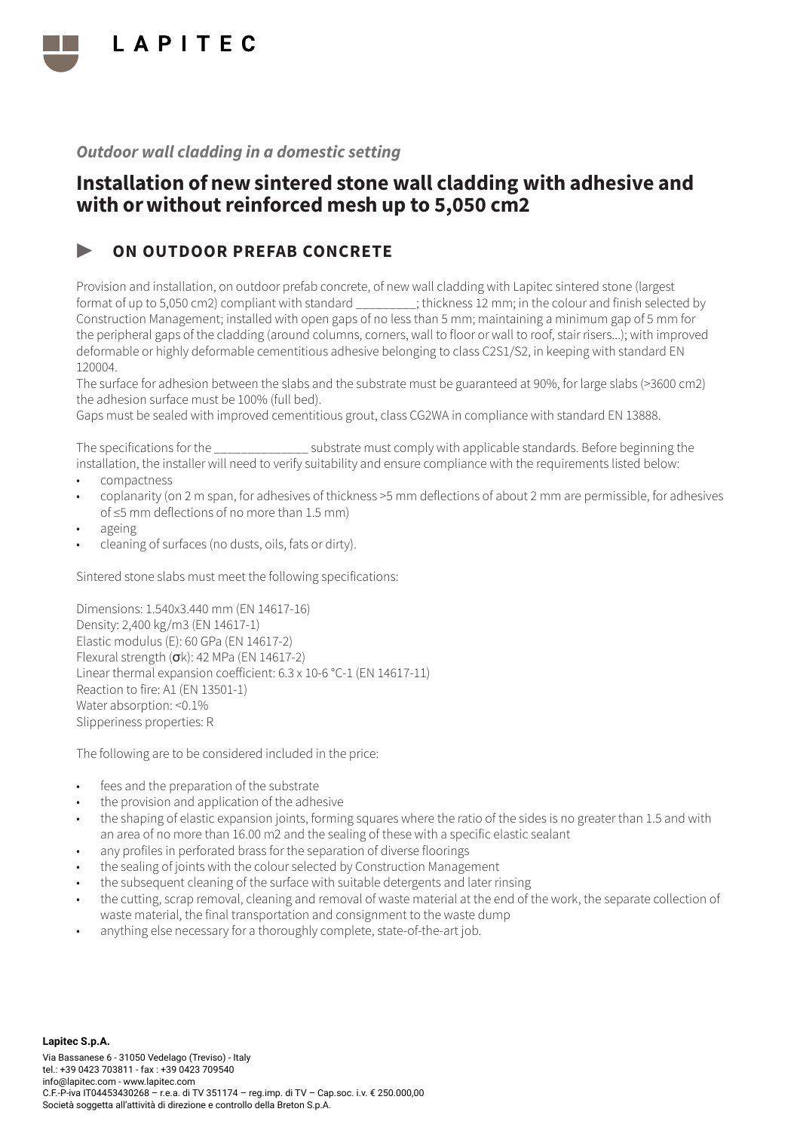

# Installation of new sintered stone wall cladding with adhesive and with or without reinforced mesh up to 5,050 cm2

### ON OUTDOOR PREFAB CONCRETE

Provision and installation, on outdoor prefab concrete, of new wall cladding with Lapitec sintered stone (largest format of up to 5,050 cm2) compliant with standard \_\_\_\_\_\_\_\_\_; thickness 12 mm; in the colour and finish selected by Construction Management; installed with open gaps of no less than 5 mm; maintaining a minimum gap of 5 mm for the peripheral gaps of the cladding (around columns, corners, wall to floor or wall to roof, stair risers...); with improved deformable or highly deformable cementitious adhesive belonging to class C2S1/S2, in keeping with standard EN 120004.

The surface for adhesion between the slabs and the substrate must be guaranteed at 90%, for large slabs (>3600 cm2) the adhesion surface must be 100% (full bed).

Gaps must be sealed with improved cementitious grout, class CG2WA in compliance with standard EN 13888.

The specifications for the \_\_\_\_\_\_\_\_\_\_\_\_\_\_ substrate must comply with applicable standards. Before beginning the installation, the installer will need to verify suitability and ensure compliance with the requirements listed below:

- compactness
- coplanarity (on 2 m span, for adhesives of thickness >5 mm deflections of about 2 mm are permissible, for adhesives of ≤5 mm deflections of no more than 1.5 mm)
- ageing
- cleaning of surfaces (no dusts, oils, fats or dirty).

Sintered stone slabs must meet the following specifications:

Dimensions: 1.540x3.440 mm (EN 14617-16) Density: 2,400 kg/m3 (EN 14617-1) Elastic modulus (E): 60 GPa (EN 14617-2) Flexural strength (σk): 42 MPa (EN 14617-2) Linear thermal expansion coefficient: 6.3 x 10-6 °C-1 (EN 14617-11) Reaction to fire: A1 (EN 13501-1) Water absorption: <0.1% Slipperiness properties: R

- fees and the preparation of the substrate
- the provision and application of the adhesive
- the shaping of elastic expansion joints, forming squares where the ratio of the sides is no greater than 1.5 and with an area of no more than 16.00 m2 and the sealing of these with a specific elastic sealant
- any profiles in perforated brass for the separation of diverse floorings
- the sealing of joints with the colour selected by Construction Management
- the subsequent cleaning of the surface with suitable detergents and later rinsing
- the cutting, scrap removal, cleaning and removal of waste material at the end of the work, the separate collection of waste material, the final transportation and consignment to the waste dump
- anything else necessary for a thoroughly complete, state-of-the-art job.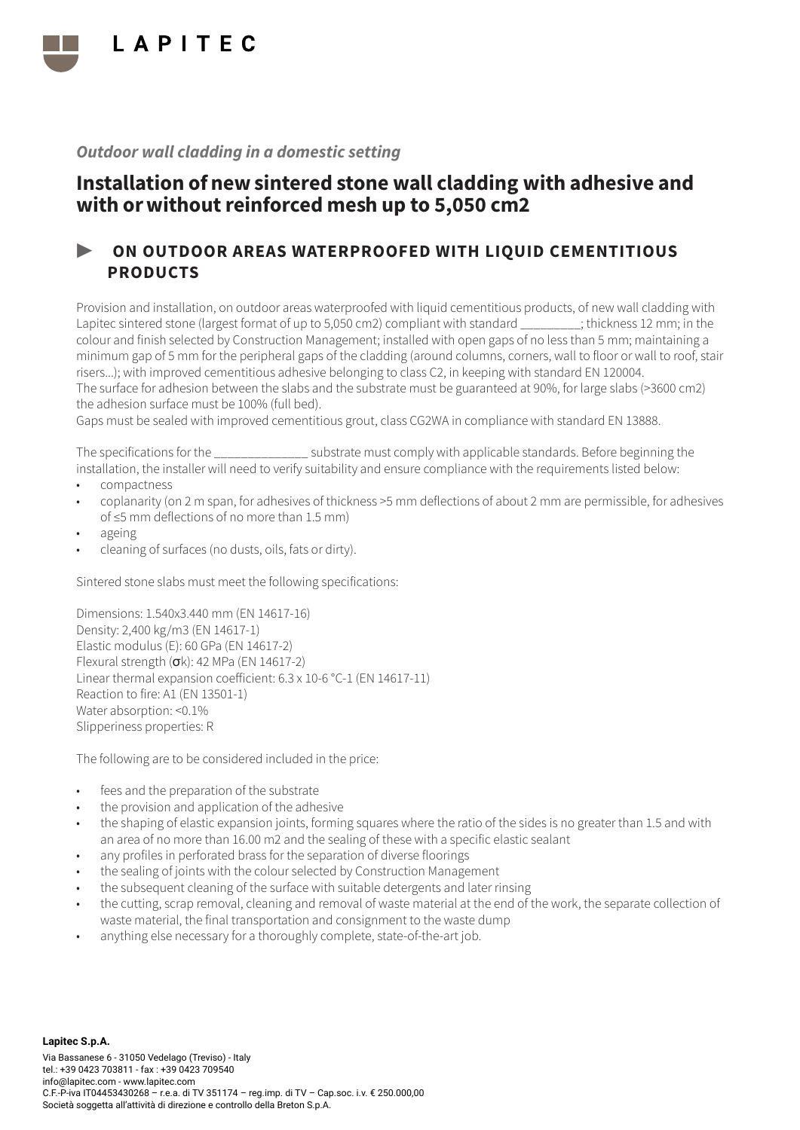

# Installation of new sintered stone wall cladding with adhesive and with or without reinforced mesh up to 5,050 cm2

### ▶ ON OUTDOOR AREAS WATERPROOFED WITH LIQUID CEMENTITIOUS PRODUCTS

Provision and installation, on outdoor areas waterproofed with liquid cementitious products, of new wall cladding with Lapitec sintered stone (largest format of up to 5,050 cm2) compliant with standard \_\_\_\_\_\_\_\_\_; thickness 12 mm; in the colour and finish selected by Construction Management; installed with open gaps of no less than 5 mm; maintaining a minimum gap of 5 mm for the peripheral gaps of the cladding (around columns, corners, wall to floor or wall to roof, stair risers...); with improved cementitious adhesive belonging to class C2, in keeping with standard EN 120004. The surface for adhesion between the slabs and the substrate must be guaranteed at 90%, for large slabs (>3600 cm2) the adhesion surface must be 100% (full bed).

Gaps must be sealed with improved cementitious grout, class CG2WA in compliance with standard EN 13888.

The specifications for the  $\sim$  substrate must comply with applicable standards. Before beginning the installation, the installer will need to verify suitability and ensure compliance with the requirements listed below:

- compactness
- coplanarity (on 2 m span, for adhesives of thickness >5 mm deflections of about 2 mm are permissible, for adhesives of ≤5 mm deflections of no more than 1.5 mm)
- ageing
- cleaning of surfaces (no dusts, oils, fats or dirty).

Sintered stone slabs must meet the following specifications:

Dimensions: 1.540x3.440 mm (EN 14617-16) Density: 2,400 kg/m3 (EN 14617-1) Elastic modulus (E): 60 GPa (EN 14617-2) Flexural strength  $(\sigma k)$ : 42 MPa (EN 14617-2) Linear thermal expansion coefficient: 6.3 x 10-6 °C-1 (EN 14617-11) Reaction to fire: A1 (EN 13501-1) Water absorption: <0.1% Slipperiness properties: R

- fees and the preparation of the substrate
- the provision and application of the adhesive
- the shaping of elastic expansion joints, forming squares where the ratio of the sides is no greater than 1.5 and with an area of no more than 16.00 m2 and the sealing of these with a specific elastic sealant
- any profiles in perforated brass for the separation of diverse floorings
- the sealing of joints with the colour selected by Construction Management
- the subsequent cleaning of the surface with suitable detergents and later rinsing
- the cutting, scrap removal, cleaning and removal of waste material at the end of the work, the separate collection of waste material, the final transportation and consignment to the waste dump
- anything else necessary for a thoroughly complete, state-of-the-art job.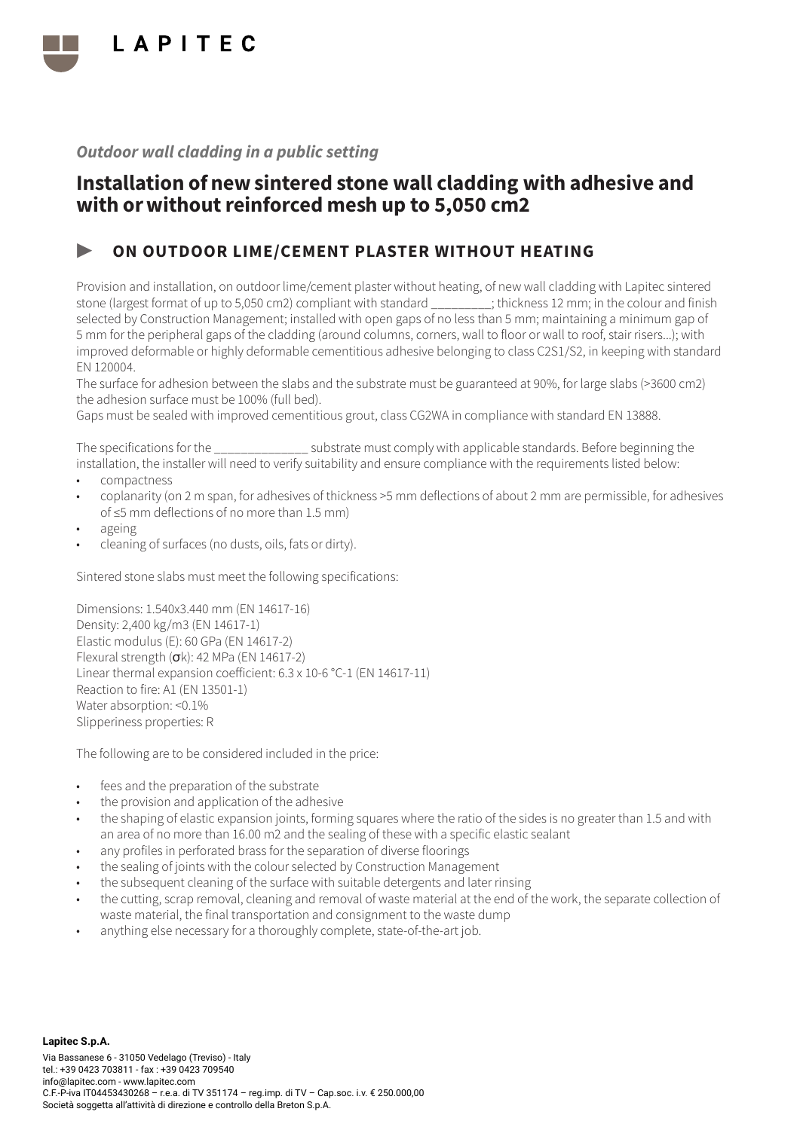

# Installation of new sintered stone wall cladding with adhesive and with or without reinforced mesh up to 5,050 cm2

### ▶ ON OUTDOOR LIME/CEMENT PLASTER WITHOUT HEATING

Provision and installation, on outdoor lime/cement plaster without heating, of new wall cladding with Lapitec sintered stone (largest format of up to 5,050 cm2) compliant with standard \_\_\_\_\_\_\_\_\_; thickness 12 mm; in the colour and finish selected by Construction Management; installed with open gaps of no less than 5 mm; maintaining a minimum gap of 5 mm for the peripheral gaps of the cladding (around columns, corners, wall to floor or wall to roof, stair risers...); with improved deformable or highly deformable cementitious adhesive belonging to class C2S1/S2, in keeping with standard EN 120004.

The surface for adhesion between the slabs and the substrate must be guaranteed at 90%, for large slabs (>3600 cm2) the adhesion surface must be 100% (full bed).

Gaps must be sealed with improved cementitious grout, class CG2WA in compliance with standard EN 13888.

The specifications for the \_\_\_\_\_\_\_\_\_\_\_\_\_\_ substrate must comply with applicable standards. Before beginning the installation, the installer will need to verify suitability and ensure compliance with the requirements listed below:

- compactness
- coplanarity (on 2 m span, for adhesives of thickness >5 mm deflections of about 2 mm are permissible, for adhesives of ≤5 mm deflections of no more than 1.5 mm)
- ageing
- cleaning of surfaces (no dusts, oils, fats or dirty).

Sintered stone slabs must meet the following specifications:

Dimensions: 1.540x3.440 mm (EN 14617-16) Density: 2,400 kg/m3 (EN 14617-1) Elastic modulus (E): 60 GPa (EN 14617-2) Flexural strength (σk): 42 MPa (EN 14617-2) Linear thermal expansion coefficient: 6.3 x 10-6 °C-1 (EN 14617-11) Reaction to fire: A1 (EN 13501-1) Water absorption: <0.1% Slipperiness properties: R

- fees and the preparation of the substrate
- the provision and application of the adhesive
- the shaping of elastic expansion joints, forming squares where the ratio of the sides is no greater than 1.5 and with an area of no more than 16.00 m2 and the sealing of these with a specific elastic sealant
- any profiles in perforated brass for the separation of diverse floorings
- the sealing of joints with the colour selected by Construction Management
- the subsequent cleaning of the surface with suitable detergents and later rinsing
- the cutting, scrap removal, cleaning and removal of waste material at the end of the work, the separate collection of waste material, the final transportation and consignment to the waste dump
- anything else necessary for a thoroughly complete, state-of-the-art job.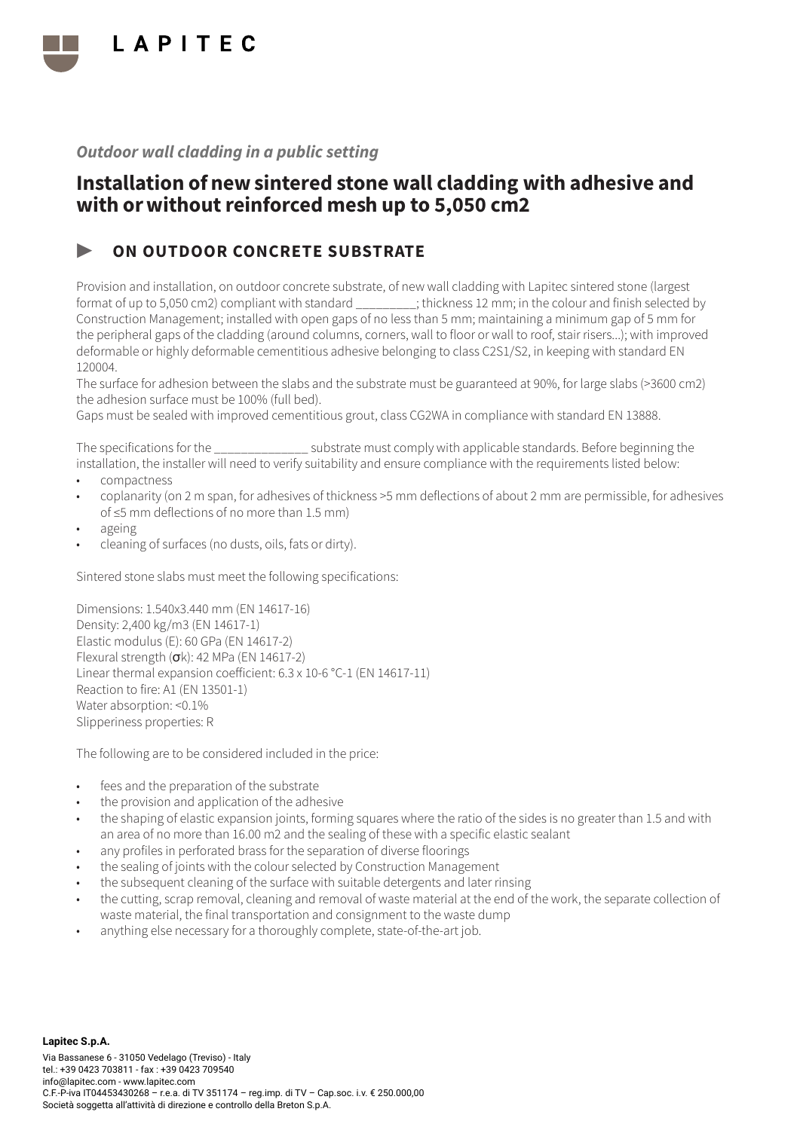

# Installation of new sintered stone wall cladding with adhesive and with or without reinforced mesh up to 5,050 cm2

### ON OUTDOOR CONCRETE SUBSTRATE

Provision and installation, on outdoor concrete substrate, of new wall cladding with Lapitec sintered stone (largest format of up to 5,050 cm2) compliant with standard \_\_\_\_\_\_\_\_\_; thickness 12 mm; in the colour and finish selected by Construction Management; installed with open gaps of no less than 5 mm; maintaining a minimum gap of 5 mm for the peripheral gaps of the cladding (around columns, corners, wall to floor or wall to roof, stair risers...); with improved deformable or highly deformable cementitious adhesive belonging to class C2S1/S2, in keeping with standard EN 120004.

The surface for adhesion between the slabs and the substrate must be guaranteed at 90%, for large slabs (>3600 cm2) the adhesion surface must be 100% (full bed).

Gaps must be sealed with improved cementitious grout, class CG2WA in compliance with standard EN 13888.

The specifications for the \_\_\_\_\_\_\_\_\_\_\_\_\_\_ substrate must comply with applicable standards. Before beginning the installation, the installer will need to verify suitability and ensure compliance with the requirements listed below:

- compactness
- coplanarity (on 2 m span, for adhesives of thickness >5 mm deflections of about 2 mm are permissible, for adhesives of ≤5 mm deflections of no more than 1.5 mm)
- ageing
- cleaning of surfaces (no dusts, oils, fats or dirty).

Sintered stone slabs must meet the following specifications:

Dimensions: 1.540x3.440 mm (EN 14617-16) Density: 2,400 kg/m3 (EN 14617-1) Elastic modulus (E): 60 GPa (EN 14617-2) Flexural strength  $(\sigma k)$ : 42 MPa (EN 14617-2) Linear thermal expansion coefficient: 6.3 x 10-6 °C-1 (EN 14617-11) Reaction to fire: A1 (EN 13501-1) Water absorption: <0.1% Slipperiness properties: R

- fees and the preparation of the substrate
- the provision and application of the adhesive
- the shaping of elastic expansion joints, forming squares where the ratio of the sides is no greater than 1.5 and with an area of no more than 16.00 m2 and the sealing of these with a specific elastic sealant
- any profiles in perforated brass for the separation of diverse floorings
- the sealing of joints with the colour selected by Construction Management
- the subsequent cleaning of the surface with suitable detergents and later rinsing
- the cutting, scrap removal, cleaning and removal of waste material at the end of the work, the separate collection of waste material, the final transportation and consignment to the waste dump
- anything else necessary for a thoroughly complete, state-of-the-art job.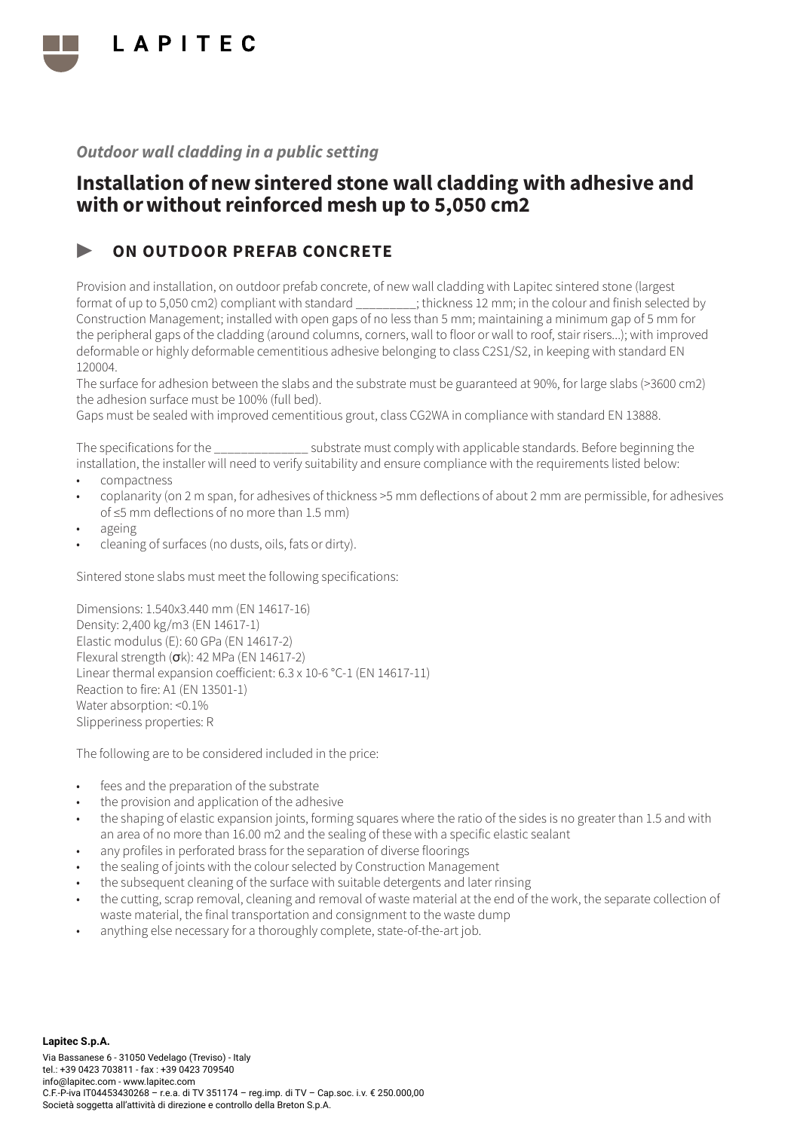

# Installation of new sintered stone wall cladding with adhesive and with or without reinforced mesh up to 5,050 cm2

### ON OUTDOOR PREFAB CONCRETE

Provision and installation, on outdoor prefab concrete, of new wall cladding with Lapitec sintered stone (largest format of up to 5,050 cm2) compliant with standard \_\_\_\_\_\_\_\_\_; thickness 12 mm; in the colour and finish selected by Construction Management; installed with open gaps of no less than 5 mm; maintaining a minimum gap of 5 mm for the peripheral gaps of the cladding (around columns, corners, wall to floor or wall to roof, stair risers...); with improved deformable or highly deformable cementitious adhesive belonging to class C2S1/S2, in keeping with standard EN 120004.

The surface for adhesion between the slabs and the substrate must be guaranteed at 90%, for large slabs (>3600 cm2) the adhesion surface must be 100% (full bed).

Gaps must be sealed with improved cementitious grout, class CG2WA in compliance with standard EN 13888.

The specifications for the \_\_\_\_\_\_\_\_\_\_\_\_\_\_ substrate must comply with applicable standards. Before beginning the installation, the installer will need to verify suitability and ensure compliance with the requirements listed below:

- compactness
- coplanarity (on 2 m span, for adhesives of thickness >5 mm deflections of about 2 mm are permissible, for adhesives of ≤5 mm deflections of no more than 1.5 mm)
- ageing
- cleaning of surfaces (no dusts, oils, fats or dirty).

Sintered stone slabs must meet the following specifications:

Dimensions: 1.540x3.440 mm (EN 14617-16) Density: 2,400 kg/m3 (EN 14617-1) Elastic modulus (E): 60 GPa (EN 14617-2) Flexural strength (σk): 42 MPa (EN 14617-2) Linear thermal expansion coefficient: 6.3 x 10-6 °C-1 (EN 14617-11) Reaction to fire: A1 (EN 13501-1) Water absorption: <0.1% Slipperiness properties: R

- fees and the preparation of the substrate
- the provision and application of the adhesive
- the shaping of elastic expansion joints, forming squares where the ratio of the sides is no greater than 1.5 and with an area of no more than 16.00 m2 and the sealing of these with a specific elastic sealant
- any profiles in perforated brass for the separation of diverse floorings
- the sealing of joints with the colour selected by Construction Management
- the subsequent cleaning of the surface with suitable detergents and later rinsing
- the cutting, scrap removal, cleaning and removal of waste material at the end of the work, the separate collection of waste material, the final transportation and consignment to the waste dump
- anything else necessary for a thoroughly complete, state-of-the-art job.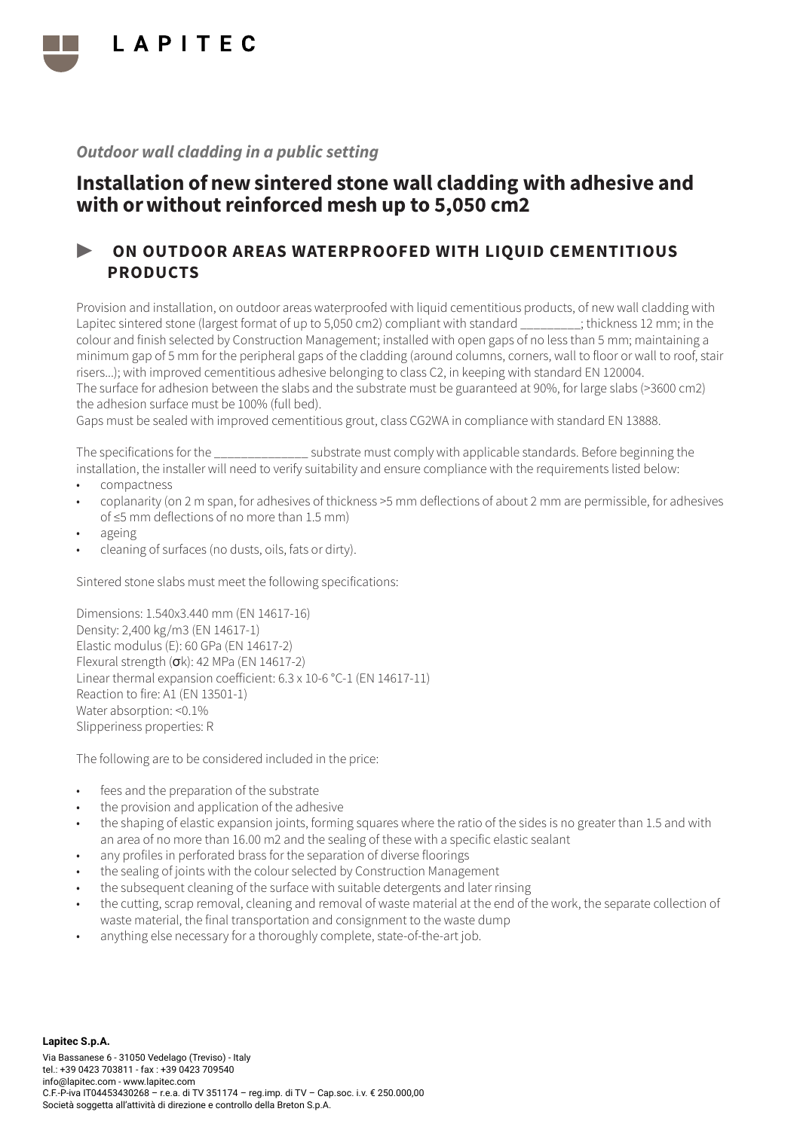

# Installation of new sintered stone wall cladding with adhesive and with or without reinforced mesh up to 5,050 cm2

### ▶ ON OUTDOOR AREAS WATERPROOFED WITH LIQUID CEMENTITIOUS PRODUCTS

Provision and installation, on outdoor areas waterproofed with liquid cementitious products, of new wall cladding with Lapitec sintered stone (largest format of up to 5,050 cm2) compliant with standard \_\_\_\_\_\_\_\_\_; thickness 12 mm; in the colour and finish selected by Construction Management; installed with open gaps of no less than 5 mm; maintaining a minimum gap of 5 mm for the peripheral gaps of the cladding (around columns, corners, wall to floor or wall to roof, stair risers...); with improved cementitious adhesive belonging to class C2, in keeping with standard EN 120004. The surface for adhesion between the slabs and the substrate must be guaranteed at 90%, for large slabs (>3600 cm2) the adhesion surface must be 100% (full bed).

Gaps must be sealed with improved cementitious grout, class CG2WA in compliance with standard EN 13888.

The specifications for the  $\sim$  substrate must comply with applicable standards. Before beginning the installation, the installer will need to verify suitability and ensure compliance with the requirements listed below:

- compactness
- coplanarity (on 2 m span, for adhesives of thickness >5 mm deflections of about 2 mm are permissible, for adhesives of ≤5 mm deflections of no more than 1.5 mm)
- ageing
- cleaning of surfaces (no dusts, oils, fats or dirty).

Sintered stone slabs must meet the following specifications:

Dimensions: 1.540x3.440 mm (EN 14617-16) Density: 2,400 kg/m3 (EN 14617-1) Elastic modulus (E): 60 GPa (EN 14617-2) Flexural strength  $(\sigma k)$ : 42 MPa (EN 14617-2) Linear thermal expansion coefficient: 6.3 x 10-6 °C-1 (EN 14617-11) Reaction to fire: A1 (EN 13501-1) Water absorption: <0.1% Slipperiness properties: R

- fees and the preparation of the substrate
- the provision and application of the adhesive
- the shaping of elastic expansion joints, forming squares where the ratio of the sides is no greater than 1.5 and with an area of no more than 16.00 m2 and the sealing of these with a specific elastic sealant
- any profiles in perforated brass for the separation of diverse floorings
- the sealing of joints with the colour selected by Construction Management
- the subsequent cleaning of the surface with suitable detergents and later rinsing
- the cutting, scrap removal, cleaning and removal of waste material at the end of the work, the separate collection of waste material, the final transportation and consignment to the waste dump
- anything else necessary for a thoroughly complete, state-of-the-art job.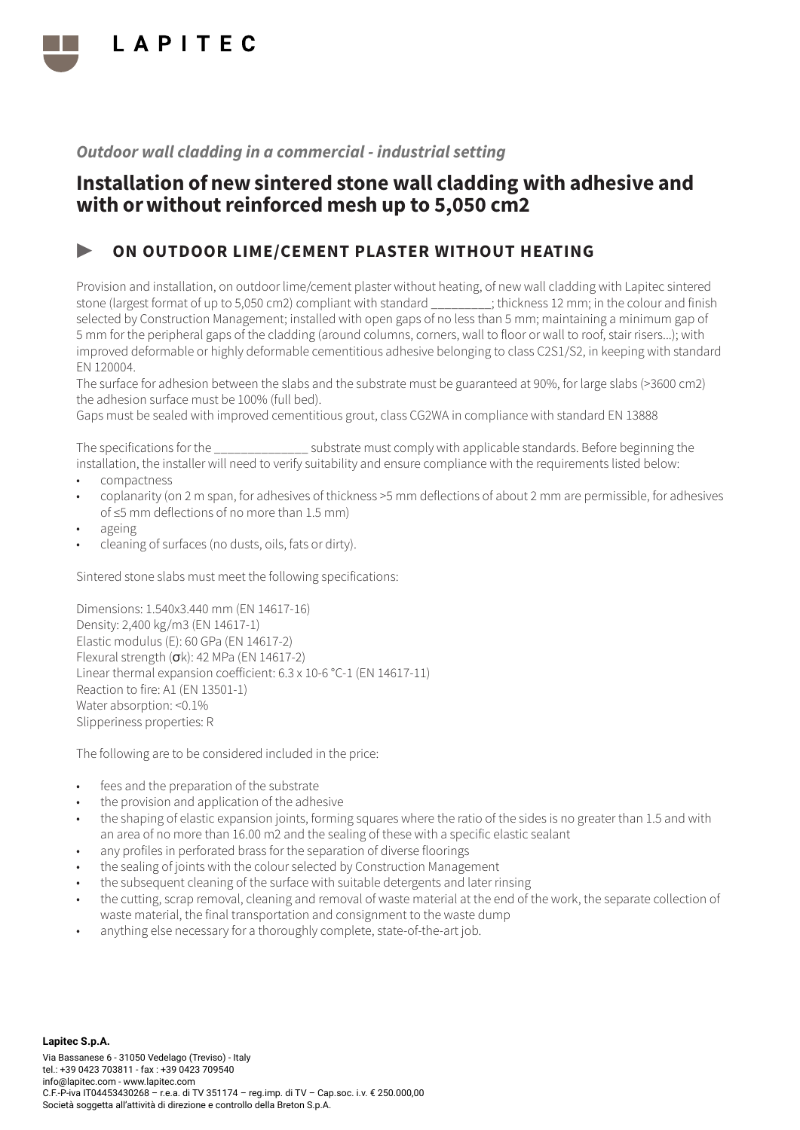

# Installation of new sintered stone wall cladding with adhesive and with or without reinforced mesh up to 5,050 cm2

### ▶ ON OUTDOOR LIME/CEMENT PLASTER WITHOUT HEATING

Provision and installation, on outdoor lime/cement plaster without heating, of new wall cladding with Lapitec sintered stone (largest format of up to 5,050 cm2) compliant with standard \_\_\_\_\_\_\_\_\_; thickness 12 mm; in the colour and finish selected by Construction Management; installed with open gaps of no less than 5 mm; maintaining a minimum gap of 5 mm for the peripheral gaps of the cladding (around columns, corners, wall to floor or wall to roof, stair risers...); with improved deformable or highly deformable cementitious adhesive belonging to class C2S1/S2, in keeping with standard EN 120004.

The surface for adhesion between the slabs and the substrate must be guaranteed at 90%, for large slabs (>3600 cm2) the adhesion surface must be 100% (full bed).

Gaps must be sealed with improved cementitious grout, class CG2WA in compliance with standard EN 13888

The specifications for the \_\_\_\_\_\_\_\_\_\_\_\_\_\_ substrate must comply with applicable standards. Before beginning the installation, the installer will need to verify suitability and ensure compliance with the requirements listed below:

- compactness
- coplanarity (on 2 m span, for adhesives of thickness >5 mm deflections of about 2 mm are permissible, for adhesives of ≤5 mm deflections of no more than 1.5 mm)
- ageing
- cleaning of surfaces (no dusts, oils, fats or dirty).

Sintered stone slabs must meet the following specifications:

Dimensions: 1.540x3.440 mm (EN 14617-16) Density: 2,400 kg/m3 (EN 14617-1) Elastic modulus (E): 60 GPa (EN 14617-2) Flexural strength (σk): 42 MPa (EN 14617-2) Linear thermal expansion coefficient: 6.3 x 10-6 °C-1 (EN 14617-11) Reaction to fire: A1 (EN 13501-1) Water absorption: <0.1% Slipperiness properties: R

- fees and the preparation of the substrate
- the provision and application of the adhesive
- the shaping of elastic expansion joints, forming squares where the ratio of the sides is no greater than 1.5 and with an area of no more than 16.00 m2 and the sealing of these with a specific elastic sealant
- any profiles in perforated brass for the separation of diverse floorings
- the sealing of joints with the colour selected by Construction Management
- the subsequent cleaning of the surface with suitable detergents and later rinsing
- the cutting, scrap removal, cleaning and removal of waste material at the end of the work, the separate collection of waste material, the final transportation and consignment to the waste dump
- anything else necessary for a thoroughly complete, state-of-the-art job.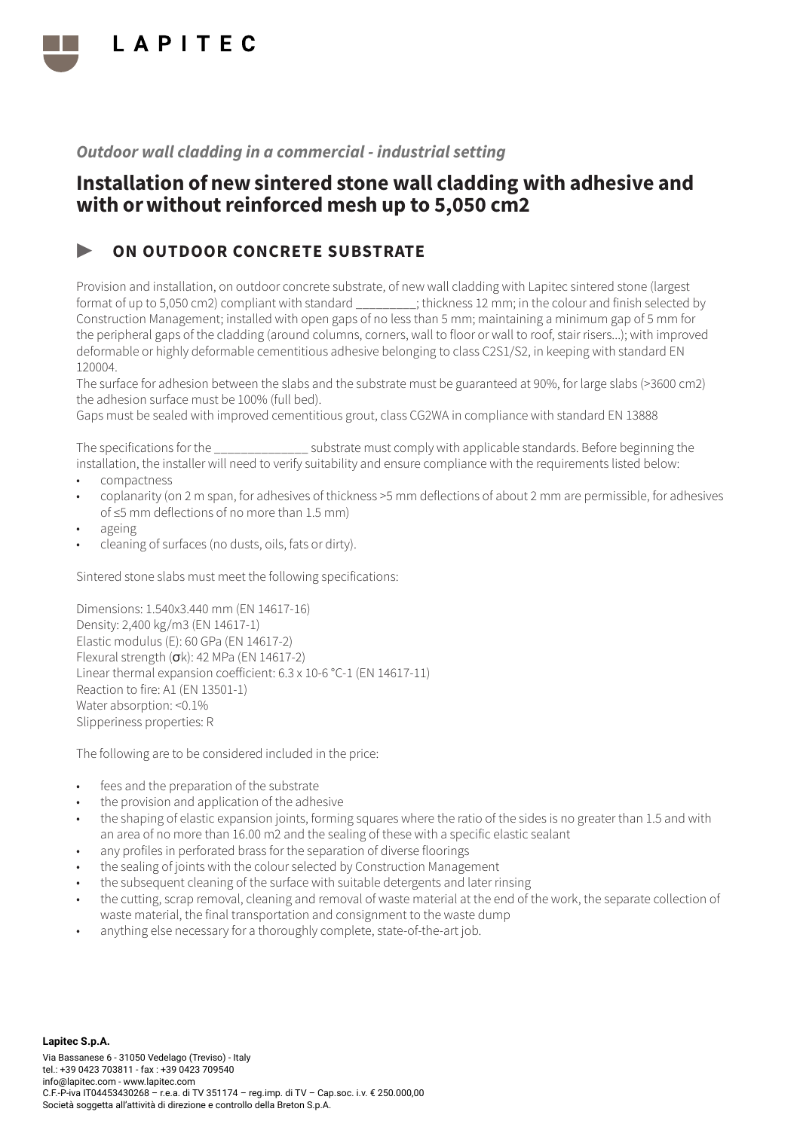

# Installation of new sintered stone wall cladding with adhesive and with or without reinforced mesh up to 5,050 cm2

### ON OUTDOOR CONCRETE SUBSTRATE

Provision and installation, on outdoor concrete substrate, of new wall cladding with Lapitec sintered stone (largest format of up to 5,050 cm2) compliant with standard \_\_\_\_\_\_\_\_\_; thickness 12 mm; in the colour and finish selected by Construction Management; installed with open gaps of no less than 5 mm; maintaining a minimum gap of 5 mm for the peripheral gaps of the cladding (around columns, corners, wall to floor or wall to roof, stair risers...); with improved deformable or highly deformable cementitious adhesive belonging to class C2S1/S2, in keeping with standard EN 120004.

The surface for adhesion between the slabs and the substrate must be guaranteed at 90%, for large slabs (>3600 cm2) the adhesion surface must be 100% (full bed).

Gaps must be sealed with improved cementitious grout, class CG2WA in compliance with standard EN 13888

The specifications for the \_\_\_\_\_\_\_\_\_\_\_\_\_\_ substrate must comply with applicable standards. Before beginning the installation, the installer will need to verify suitability and ensure compliance with the requirements listed below:

- compactness
- coplanarity (on 2 m span, for adhesives of thickness >5 mm deflections of about 2 mm are permissible, for adhesives of ≤5 mm deflections of no more than 1.5 mm)
- ageing
- cleaning of surfaces (no dusts, oils, fats or dirty).

Sintered stone slabs must meet the following specifications:

Dimensions: 1.540x3.440 mm (EN 14617-16) Density: 2,400 kg/m3 (EN 14617-1) Elastic modulus (E): 60 GPa (EN 14617-2) Flexural strength (σk): 42 MPa (EN 14617-2) Linear thermal expansion coefficient: 6.3 x 10-6 °C-1 (EN 14617-11) Reaction to fire: A1 (EN 13501-1) Water absorption: <0.1% Slipperiness properties: R

- fees and the preparation of the substrate
- the provision and application of the adhesive
- the shaping of elastic expansion joints, forming squares where the ratio of the sides is no greater than 1.5 and with an area of no more than 16.00 m2 and the sealing of these with a specific elastic sealant
- any profiles in perforated brass for the separation of diverse floorings
- the sealing of joints with the colour selected by Construction Management
- the subsequent cleaning of the surface with suitable detergents and later rinsing
- the cutting, scrap removal, cleaning and removal of waste material at the end of the work, the separate collection of waste material, the final transportation and consignment to the waste dump
- anything else necessary for a thoroughly complete, state-of-the-art job.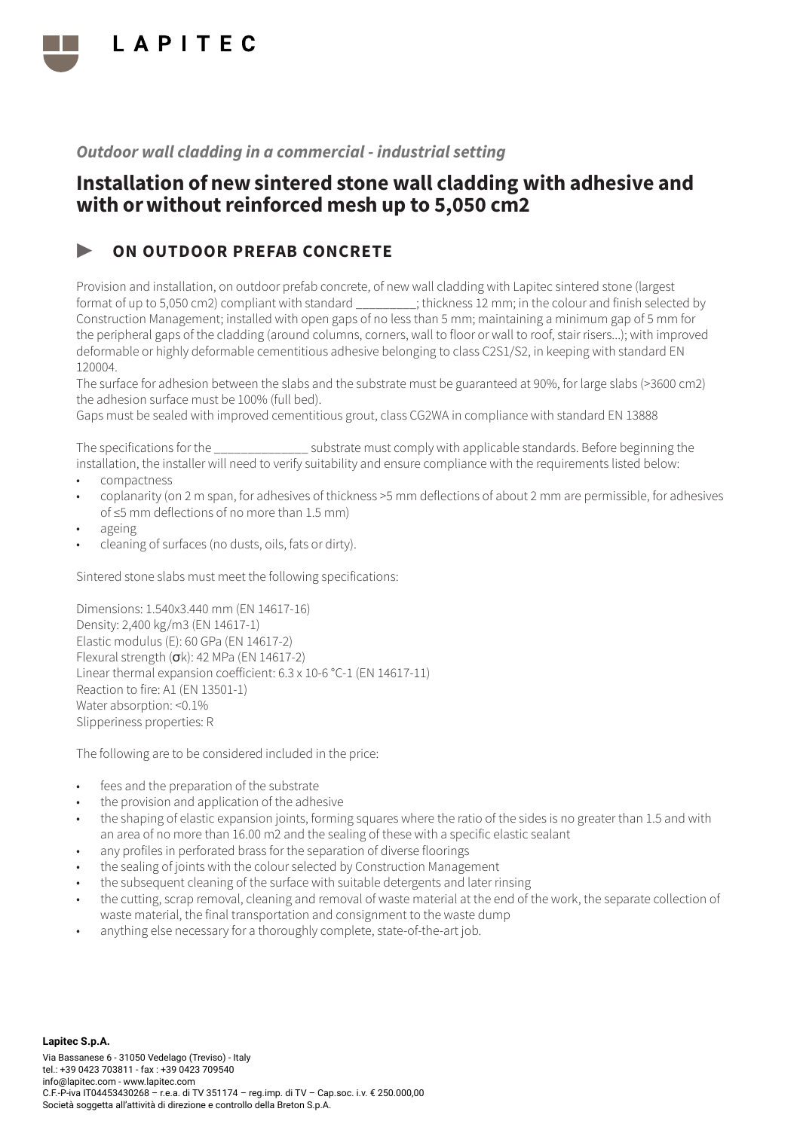

# Installation of new sintered stone wall cladding with adhesive and with or without reinforced mesh up to 5,050 cm2

### ON OUTDOOR PREFAB CONCRETE

Provision and installation, on outdoor prefab concrete, of new wall cladding with Lapitec sintered stone (largest format of up to 5,050 cm2) compliant with standard \_\_\_\_\_\_\_\_\_; thickness 12 mm; in the colour and finish selected by Construction Management; installed with open gaps of no less than 5 mm; maintaining a minimum gap of 5 mm for the peripheral gaps of the cladding (around columns, corners, wall to floor or wall to roof, stair risers...); with improved deformable or highly deformable cementitious adhesive belonging to class C2S1/S2, in keeping with standard EN 120004.

The surface for adhesion between the slabs and the substrate must be guaranteed at 90%, for large slabs (>3600 cm2) the adhesion surface must be 100% (full bed).

Gaps must be sealed with improved cementitious grout, class CG2WA in compliance with standard EN 13888

The specifications for the \_\_\_\_\_\_\_\_\_\_\_\_\_\_ substrate must comply with applicable standards. Before beginning the installation, the installer will need to verify suitability and ensure compliance with the requirements listed below:

- compactness
- coplanarity (on 2 m span, for adhesives of thickness >5 mm deflections of about 2 mm are permissible, for adhesives of ≤5 mm deflections of no more than 1.5 mm)
- ageing
- cleaning of surfaces (no dusts, oils, fats or dirty).

Sintered stone slabs must meet the following specifications:

Dimensions: 1.540x3.440 mm (EN 14617-16) Density: 2,400 kg/m3 (EN 14617-1) Elastic modulus (E): 60 GPa (EN 14617-2) Flexural strength (σk): 42 MPa (EN 14617-2) Linear thermal expansion coefficient: 6.3 x 10-6 °C-1 (EN 14617-11) Reaction to fire: A1 (EN 13501-1) Water absorption: <0.1% Slipperiness properties: R

- fees and the preparation of the substrate
- the provision and application of the adhesive
- the shaping of elastic expansion joints, forming squares where the ratio of the sides is no greater than 1.5 and with an area of no more than 16.00 m2 and the sealing of these with a specific elastic sealant
- any profiles in perforated brass for the separation of diverse floorings
- the sealing of joints with the colour selected by Construction Management
- the subsequent cleaning of the surface with suitable detergents and later rinsing
- the cutting, scrap removal, cleaning and removal of waste material at the end of the work, the separate collection of waste material, the final transportation and consignment to the waste dump
- anything else necessary for a thoroughly complete, state-of-the-art job.